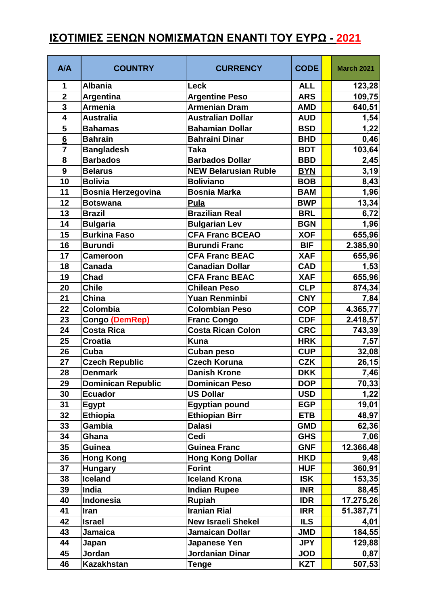## **ΙΣΟΤΙΜΙΕΣ ΞΕΝΩΝ ΝΟΜΙΣΜΑΤΩΝ ΕΝΑΝΤΙ ΤΟΥ ΕΥΡΩ - 2021**

| A/A             | <b>COUNTRY</b>            | <b>CURRENCY</b>             | <b>CODE</b> | <b>March 2021</b> |
|-----------------|---------------------------|-----------------------------|-------------|-------------------|
| 1               | <b>Albania</b>            | <b>Leck</b>                 | <b>ALL</b>  | 123,28            |
| $\overline{2}$  | Argentina                 | <b>Argentine Peso</b>       | <b>ARS</b>  | 109,75            |
| 3               | <b>Armenia</b>            | <b>Armenian Dram</b>        | <b>AMD</b>  | 640,51            |
| $\overline{4}$  | <b>Australia</b>          | <b>Australian Dollar</b>    | <b>AUD</b>  | 1,54              |
| 5               | <b>Bahamas</b>            | <b>Bahamian Dollar</b>      | <b>BSD</b>  | 1,22              |
| $6\phantom{1}6$ | <b>Bahrain</b>            | <b>Bahraini Dinar</b>       | <b>BHD</b>  | 0,46              |
| 7               | <b>Bangladesh</b>         | <b>Taka</b>                 | <b>BDT</b>  | 103,64            |
| 8               | <b>Barbados</b>           | <b>Barbados Dollar</b>      | <b>BBD</b>  | 2,45              |
| 9               | <b>Belarus</b>            | <b>NEW Belarusian Ruble</b> | <b>BYN</b>  | 3,19              |
| 10              | <b>Bolivia</b>            | <b>Boliviano</b>            | <b>BOB</b>  | 8,43              |
| 11              | <b>Bosnia Herzegovina</b> | <b>Bosnia Marka</b>         | <b>BAM</b>  | 1,96              |
| 12              | <b>Botswana</b>           | Pula                        | <b>BWP</b>  | 13,34             |
| 13              | <b>Brazil</b>             | <b>Brazilian Real</b>       | <b>BRL</b>  | 6,72              |
| 14              | <b>Bulgaria</b>           | <b>Bulgarian Lev</b>        | <b>BGN</b>  | 1,96              |
| 15              | <b>Burkina Faso</b>       | <b>CFA Franc BCEAO</b>      | <b>XOF</b>  | 655,96            |
| 16              | <b>Burundi</b>            | <b>Burundi Franc</b>        | <b>BIF</b>  | 2.385,90          |
| 17              | <b>Cameroon</b>           | <b>CFA Franc BEAC</b>       | <b>XAF</b>  | 655,96            |
| 18              | Canada                    | <b>Canadian Dollar</b>      | <b>CAD</b>  | 1,53              |
| 19              | <b>Chad</b>               | <b>CFA Franc BEAC</b>       | <b>XAF</b>  | 655,96            |
| 20              | <b>Chile</b>              | <b>Chilean Peso</b>         | <b>CLP</b>  | 874,34            |
| 21              | China                     | <b>Yuan Renminbi</b>        | <b>CNY</b>  | 7,84              |
| 22              | Colombia                  | <b>Colombian Peso</b>       | <b>COP</b>  | 4.365,77          |
| 23              | <b>Congo (DemRep)</b>     | <b>Franc Congo</b>          | <b>CDF</b>  | 2.418,57          |
| 24              | <b>Costa Rica</b>         | <b>Costa Rican Colon</b>    | <b>CRC</b>  | 743,39            |
| 25              | <b>Croatia</b>            | <b>Kuna</b>                 | <b>HRK</b>  | 7,57              |
| 26              | Cuba                      | <b>Cuban peso</b>           | <b>CUP</b>  | 32,08             |
| 27              | <b>Czech Republic</b>     | <b>Czech Koruna</b>         | <b>CZK</b>  | 26,15             |
| 28              | <b>Denmark</b>            | <b>Danish Krone</b>         | <b>DKK</b>  | 7,46              |
| 29              | <b>Dominican Republic</b> | <b>Dominican Peso</b>       | <b>DOP</b>  | 70,33             |
| 30              | <b>Ecuador</b>            | <b>US Dollar</b>            | <b>USD</b>  | 1,22              |
| 31              | <b>Egypt</b>              | <b>Egyptian pound</b>       | <b>EGP</b>  | 19,01             |
| 32              | <b>Ethiopia</b>           | <b>Ethiopian Birr</b>       | <b>ETB</b>  | 48,97             |
| 33              | Gambia                    | <b>Dalasi</b>               | <b>GMD</b>  | 62,36             |
| 34              | Ghana                     | Cedi                        | <b>GHS</b>  | 7,06              |
| 35              | Guinea                    | <b>Guinea Franc</b>         | <b>GNF</b>  | 12.366,48         |
| 36              | <b>Hong Kong</b>          | <b>Hong Kong Dollar</b>     | <b>HKD</b>  | 9,48              |
| 37              | <b>Hungary</b>            | <b>Forint</b>               | <b>HUF</b>  | 360,91            |
| 38              | <b>Iceland</b>            | <b>Iceland Krona</b>        | <b>ISK</b>  | 153,35            |
| 39              | India                     | <b>Indian Rupee</b>         | <b>INR</b>  | 88,45             |
| 40              | <b>Indonesia</b>          | <b>Rupiah</b>               | <b>IDR</b>  | 17.275,26         |
| 41              | Iran                      | <b>Iranian Rial</b>         | <b>IRR</b>  | 51.387,71         |
| 42              | <b>Israel</b>             | <b>New Israeli Shekel</b>   | <b>ILS</b>  | 4,01              |
| 43              | <b>Jamaica</b>            | <b>Jamaican Dollar</b>      | <b>JMD</b>  | 184,55            |
| 44              | Japan                     | Japanese Yen                | <b>JPY</b>  | 129,88            |
| 45              | Jordan                    | <b>Jordanian Dinar</b>      | <b>JOD</b>  | 0,87              |
| 46              | <b>Kazakhstan</b>         | <b>Tenge</b>                | <b>KZT</b>  | 507,53            |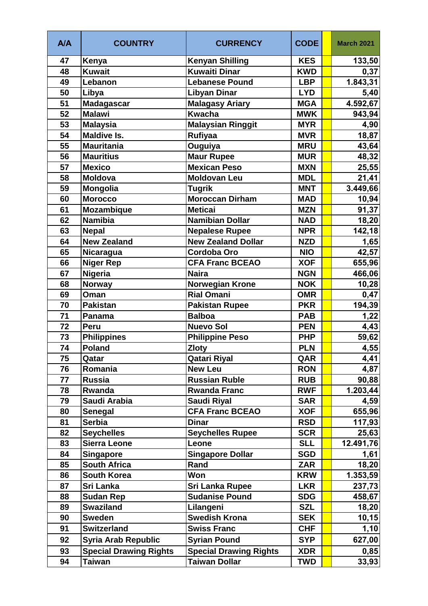| A/A | <b>COUNTRY</b>                | <b>CURRENCY</b>               | <b>CODE</b> | <b>March 2021</b> |
|-----|-------------------------------|-------------------------------|-------------|-------------------|
| 47  | Kenya                         | <b>Kenyan Shilling</b>        | <b>KES</b>  | 133,50            |
| 48  | <b>Kuwait</b>                 | <b>Kuwaiti Dinar</b>          | <b>KWD</b>  | 0,37              |
| 49  | Lebanon                       | <b>Lebanese Pound</b>         | <b>LBP</b>  | 1.843,31          |
| 50  | Libya                         | <b>Libyan Dinar</b>           | <b>LYD</b>  | 5,40              |
| 51  | <b>Madagascar</b>             | <b>Malagasy Ariary</b>        | <b>MGA</b>  | 4.592,67          |
| 52  | <b>Malawi</b>                 | <b>Kwacha</b>                 | <b>MWK</b>  | 943,94            |
| 53  | <b>Malaysia</b>               | <b>Malaysian Ringgit</b>      | <b>MYR</b>  | 4,90              |
| 54  | <b>Maldive Is.</b>            | <b>Rufiyaa</b>                | <b>MVR</b>  | 18,87             |
| 55  | <b>Mauritania</b>             | Ouguiya                       | <b>MRU</b>  | 43,64             |
| 56  | <b>Mauritius</b>              | <b>Maur Rupee</b>             | <b>MUR</b>  | 48,32             |
| 57  | <b>Mexico</b>                 | <b>Mexican Peso</b>           | <b>MXN</b>  | 25,55             |
| 58  | <b>Moldova</b>                | <b>Moldovan Leu</b>           | <b>MDL</b>  | 21,41             |
| 59  | <b>Mongolia</b>               | <b>Tugrik</b>                 | <b>MNT</b>  | 3.449,66          |
| 60  | <b>Morocco</b>                | <b>Moroccan Dirham</b>        | <b>MAD</b>  | 10,94             |
| 61  | Mozambique                    | <b>Meticai</b>                | <b>MZN</b>  | 91,37             |
| 62  | <b>Namibia</b>                | <b>Namibian Dollar</b>        | <b>NAD</b>  | 18,20             |
| 63  | <b>Nepal</b>                  | <b>Nepalese Rupee</b>         | <b>NPR</b>  | 142,18            |
| 64  | <b>New Zealand</b>            | <b>New Zealand Dollar</b>     | <b>NZD</b>  | 1,65              |
| 65  | Nicaragua                     | <b>Cordoba Oro</b>            | <b>NIO</b>  | 42,57             |
| 66  | <b>Niger Rep</b>              | <b>CFA Franc BCEAO</b>        | <b>XOF</b>  | 655,96            |
| 67  | <b>Nigeria</b>                | <b>Naira</b>                  | <b>NGN</b>  | 466,06            |
| 68  | <b>Norway</b>                 | <b>Norwegian Krone</b>        | <b>NOK</b>  | 10,28             |
| 69  | Oman                          | <b>Rial Omani</b>             | <b>OMR</b>  | 0,47              |
| 70  | <b>Pakistan</b>               | <b>Pakistan Rupee</b>         | <b>PKR</b>  | 194,39            |
| 71  | <b>Panama</b>                 | <b>Balboa</b>                 | <b>PAB</b>  | 1,22              |
| 72  | Peru                          | <b>Nuevo Sol</b>              | <b>PEN</b>  | 4,43              |
| 73  | <b>Philippines</b>            | <b>Philippine Peso</b>        | <b>PHP</b>  | 59,62             |
| 74  | <b>Poland</b>                 | <b>Zloty</b>                  | <b>PLN</b>  | 4,55              |
| 75  | Qatar                         | <b>Qatari Riyal</b>           | QAR         | 4,41              |
| 76  | Romania                       | <b>New Leu</b>                | <b>RON</b>  | 4,87              |
| 77  | <b>Russia</b>                 | <b>Russian Ruble</b>          | <b>RUB</b>  | 90,88             |
| 78  | Rwanda                        | <b>Rwanda Franc</b>           | <b>RWF</b>  | 1.203,44          |
| 79  | Saudi Arabia                  | <b>Saudi Riyal</b>            | <b>SAR</b>  | 4,59              |
| 80  | <b>Senegal</b>                | <b>CFA Franc BCEAO</b>        | <b>XOF</b>  | 655,96            |
| 81  | <b>Serbia</b>                 | <b>Dinar</b>                  | <b>RSD</b>  | 117,93            |
| 82  | <b>Seychelles</b>             | <b>Seychelles Rupee</b>       | <b>SCR</b>  | 25,63             |
| 83  | <b>Sierra Leone</b>           | Leone                         | <b>SLL</b>  | 12.491,76         |
| 84  | <b>Singapore</b>              | <b>Singapore Dollar</b>       | <b>SGD</b>  | 1,61              |
| 85  | <b>South Africa</b>           | Rand                          | <b>ZAR</b>  | 18,20             |
| 86  | <b>South Korea</b>            | Won                           | <b>KRW</b>  | 1.353,59          |
| 87  | <b>Sri Lanka</b>              | <b>Sri Lanka Rupee</b>        | <b>LKR</b>  | 237,73            |
| 88  | <b>Sudan Rep</b>              | <b>Sudanise Pound</b>         | <b>SDG</b>  | 458,67            |
| 89  | <b>Swaziland</b>              | Lilangeni                     | <b>SZL</b>  | 18,20             |
| 90  | <b>Sweden</b>                 | <b>Swedish Krona</b>          | <b>SEK</b>  | 10, 15            |
| 91  | <b>Switzerland</b>            | <b>Swiss Franc</b>            | <b>CHF</b>  | 1,10              |
| 92  | <b>Syria Arab Republic</b>    | <b>Syrian Pound</b>           | <b>SYP</b>  | 627,00            |
| 93  | <b>Special Drawing Rights</b> | <b>Special Drawing Rights</b> | <b>XDR</b>  | 0,85              |
| 94  | <b>Taiwan</b>                 | <b>Taiwan Dollar</b>          | <b>TWD</b>  | 33,93             |